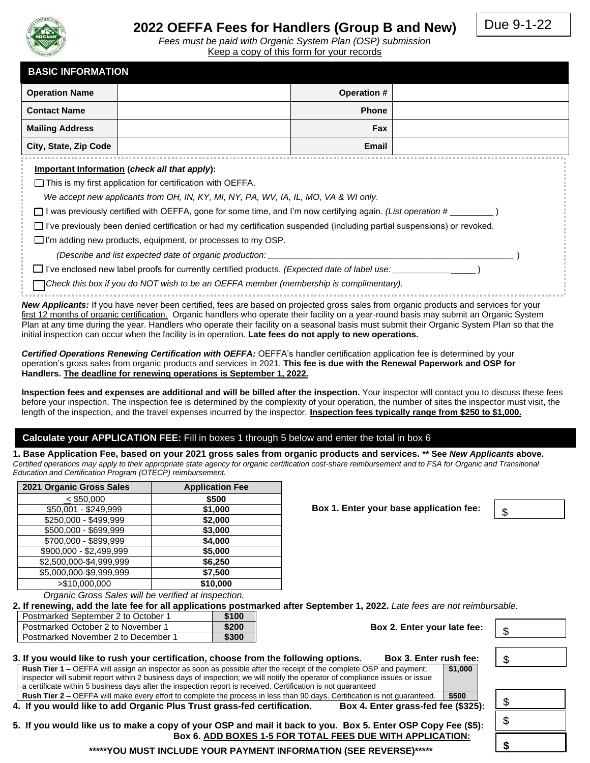

# **2022 OEFFA Fees for Handlers (Group B and New)**

Due 9-1-22

*Fees must be paid with Organic System Plan (OSP) submission* Keep a copy of this form for your records

| <b>BASIC INFORMATION</b>                                                                                                                 |                    |  |  |
|------------------------------------------------------------------------------------------------------------------------------------------|--------------------|--|--|
| <b>Operation Name</b>                                                                                                                    | <b>Operation #</b> |  |  |
| <b>Contact Name</b>                                                                                                                      | <b>Phone</b>       |  |  |
| <b>Mailing Address</b>                                                                                                                   | <b>Fax</b>         |  |  |
| City, State, Zip Code                                                                                                                    | Email              |  |  |
| Important Information (check all that apply):                                                                                            |                    |  |  |
| $\Box$ This is my first application for certification with OEFFA.                                                                        |                    |  |  |
| We accept new applicants from OH, IN, KY, MI, NY, PA, WV, IA, IL, MO, VA & WI only.                                                      |                    |  |  |
| I was previously certified with OEFFA, gone for some time, and I'm now certifying again. (List operation #                               |                    |  |  |
| $\Box$ I've previously been denied certification or had my certification suspended (including partial suspensions) or revoked.           |                    |  |  |
| $\Box$ I'm adding new products, equipment, or processes to my OSP.                                                                       |                    |  |  |
| (Describe and list expected date of organic production:                                                                                  |                    |  |  |
| $\Box$ I've enclosed new label proofs for currently certified products. (Expected date of label use:                                     |                    |  |  |
| □ Check this box if you do NOT wish to be an OEFFA member (membership is complimentary).                                                 |                    |  |  |
| New Applicants: If you have never been certified, fees are based on projected gross sales from organic products and services for your    |                    |  |  |
| first 12 months of organic certification. Organic handlers who operate their facility on a vear-round basis may submit an Organic System |                    |  |  |

first 12 months of organic certification. Organic handlers who operate their facility on a year-round basis may submit an Organic System Plan at any time during the year. Handlers who operate their facility on a seasonal basis must submit their Organic System Plan so that the initial inspection can occur when the facility is in operation. **Late fees do not apply to new operations.**

*Certified Operations Renewing Certification with OEFFA:* OEFFA's handler certification application fee is determined by your operation's gross sales from organic products and services in 2021. **This fee is due with the Renewal Paperwork and OSP for Handlers. The deadline for renewing operations is September 1, 2022.**

**Inspection fees and expenses are additional and will be billed after the inspection.** Your inspector will contact you to discuss these fees before your inspection. The inspection fee is determined by the complexity of your operation, the number of sites the inspector must visit, the length of the inspection, and the travel expenses incurred by the inspector. **Inspection fees typically range from \$250 to \$1,000.**

## **Calculate your APPLICATION FEE:** Fill in boxes 1 through 5 below and enter the total in box 6

**1. Base Application Fee, based on your 2021 gross sales from organic products and services. \*\* See** *New Applicants* **above.** *Certified operations may apply to their appropriate state agency for organic certification cost-share reimbursement and to FSA for Organic and Transitional Education and Certification Program (OTECP) reimbursement.*

| 2021 Organic Gross Sales | <b>Application Fee</b> |
|--------------------------|------------------------|
| $<$ \$50,000             | \$500                  |
| \$50,001 - \$249,999     | \$1,000                |
| \$250,000 - \$499,999    | \$2,000                |
| \$500,000 - \$699,999    | \$3,000                |
| \$700,000 - \$899,999    | \$4,000                |
| \$900,000 - \$2,499,999  | \$5,000                |
| \$2,500,000-\$4,999,999  | \$6,250                |
| \$5,000,000-\$9,999,999  | \$7,500                |
| > \$10,000,000           | \$10,000               |

**Box 6. ADD BOXES 1-5 FOR TOTAL FEES DUE WITH APPLICATION:**

*Organic Gross Sales will be verified at inspection.*

**2. If renewing, add the late fee for all applications postmarked after September 1, 2022.** *Late fees are not reimbursable.*

| Postmarked September 2 to October 1 | \$100 |
|-------------------------------------|-------|
| Postmarked October 2 to November 1  | \$200 |
| Postmarked November 2 to December 1 | \$300 |

**Box 2. Enter your late fee:** 

**Box 1. Enter your base application fee:** 

| \$ |  |  |
|----|--|--|
|    |  |  |
| \$ |  |  |

**\$** 

|                                                                                                                | Box 3. Enter rush fee:<br>3. If you would like to rush your certification, choose from the following options.                             | \$      |
|----------------------------------------------------------------------------------------------------------------|-------------------------------------------------------------------------------------------------------------------------------------------|---------|
|                                                                                                                | Rush Tier 1 – OEFFA will assign an inspector as soon as possible after the receipt of the complete OSP and payment;                       | \$1,000 |
|                                                                                                                | inspector will submit report within 2 business days of inspection; we will notify the operator of compliance issues or issue              |         |
|                                                                                                                | a certificate within 5 business days after the inspection report is received. Certification is not quaranteed                             |         |
|                                                                                                                | \$500<br><b>Rush Tier 2 – OEFFA will make every effort to complete the process in less than 90 days. Certification is not quaranteed.</b> | \$      |
| Box 4. Enter grass-fed fee (\$325):<br>4. If you would like to add Organic Plus Trust grass-fed certification. |                                                                                                                                           |         |
|                                                                                                                | 5. If you would like us to make a copy of your OSP and mail it back to you. Box 5. Enter OSP Copy Fee (\$5):                              |         |

**\*\*\*\*\*YOU MUST INCLUDE YOUR PAYMENT INFORMATION (SEE REVERSE)\*\*\*\*\***